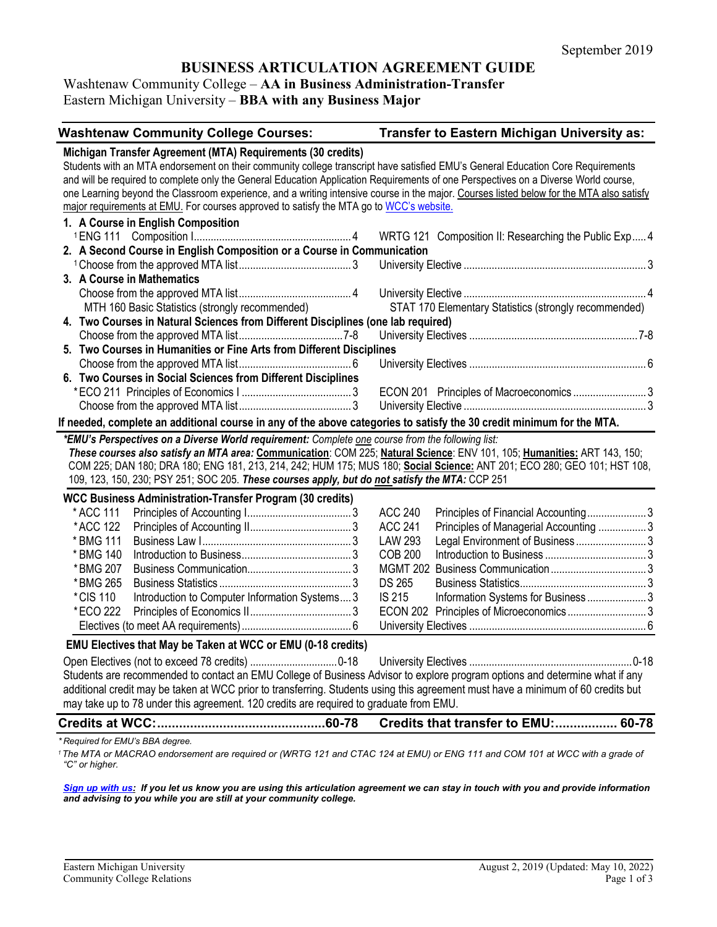# **BUSINESS ARTICULATION AGREEMENT GUIDE**

### Washtenaw Community College – **AA in Business Administration-Transfer** Eastern Michigan University – **BBA with any Business Major**

**Washtenaw Community College Courses: Transfer to Eastern Michigan University as: Michigan Transfer Agreement (MTA) Requirements (30 credits)** Students with an MTA endorsement on their community college transcript have satisfied EMU's General Education Core Requirements and will be required to complete only the General Education Application Requirements of one Perspectives on a Diverse World course, one Learning beyond the Classroom experience, and a writing intensive course in the major. Courses listed below for the MTA also satisfy major requirements at EMU. For courses approved to satisfy the MTA go t[o WCC's website.](http://www.wccnet.edu/services/transferresources/mta/) **1. A Course in English Composition** 1ENG 111 Composition I........................................................ 4 WRTG 121 Composition II: Researching the Public Exp.....4 **2. A Second Course in English Composition or a Course in Communication** 1Choose from the approved MTA list........................................ 3 University Elective ................................................................. 3 **3. A Course in Mathematics** Choose from the approved MTA list........................................ 4 University Elective ................................................................. 4 MTH 160 Basic Statistics (strongly recommended) STAT 170 Elementary Statistics (strongly recommended) **4. Two Courses in Natural Sciences from Different Disciplines (one lab required)** Choose from the approved MTA list.....................................7-8 University Electives ............................................................7-8 **5. Two Courses in Humanities or Fine Arts from Different Disciplines** Choose from the approved MTA list........................................ 6 University Electives ............................................................... 6 **6. Two Courses in Social Sciences from Different Disciplines** \*ECO 211 Principles of Economics I ....................................... 3 ECON 201 Principles of Macroeconomics .......................... 3 Choose from the approved MTA list........................................ 3 University Elective ................................................................. 3 **If needed, complete an additional course in any of the above categories to satisfy the 30 credit minimum for the MTA.** *\*EMU's Perspectives on a Diverse World requirement: Complete one course from the following list: These courses also satisfy an MTA area:* **Communication**: COM 225; **Natural Science**: ENV 101, 105; **Humanities:** ART 143, 150; COM 225; DAN 180; DRA 180; ENG 181, 213, 214, 242; HUM 175; MUS 180; **Social Science:** ANT 201; ECO 280; GEO 101; HST 108, 109, 123, 150, 230; PSY 251; SOC 205. *These courses apply, but do not satisfy the MTA:* CCP 251 **WCC Business Administration-Transfer Program (30 credits)**  \* ACC 111 Principles of Accounting I..................................... 3 ACC 240 Principles of Financial Accounting..................... 3 \*ACC 122 Principles of Accounting II.................................... 3 ACC 241 Principles of Managerial Accounting ................. 3 \* BMG 111 Business Law I..................................................... 3 LAW 293 Legal Environment of Business ......................... 3 \* BMG 140 Introduction to Business....................................... 3 COB 200 Introduction to Business .................................... 3 \*BMG 207 Business Communication..................................... 3 MGMT 202 Business Communication.................................. 3 \*BMG 265 Business Statistics ............................................... 3 DS 265 Business Statistics............................................. 3 \*CIS 110 Introduction to Computer Information Systems.... 3 IS 215 Information Systems for Business ..................... 3 \*ECO 222 Principles of Economics II.................................... 3 ECON 202 Principles of Microeconomics ............................ 3 Electives (to meet AA requirements)....................................... 6 University Electives ............................................................... 6 **EMU Electives that May be Taken at WCC or EMU (0-18 credits)** Open Electives (not to exceed 78 credits) ...............................0-18 University Electives ..........................................................0-18 Students are recommended to contact an EMU College of Business Advisor to explore program options and determine what if any additional credit may be taken at WCC prior to transferring. Students using this agreement must have a minimum of 60 credits but may take up to 78 under this agreement. 120 credits are required to graduate from EMU. **Credits at WCC:..............................................60-78 Credits that transfer to EMU:................. 60-78** *\* Required for EMU's BBA degree.*

<sup>1</sup> The MTA or MACRAO endorsement are required or (WRTG 121 and CTAC 124 at EMU) or ENG 111 and COM 101 at WCC with a grade of *"C" or higher.*

*[Sign up with us:](https://www.emich.edu/ccr/articulation-agreements/signup.php) If you let us know you are using this articulation agreement we can stay in touch with you and provide information and advising to you while you are still at your community college.*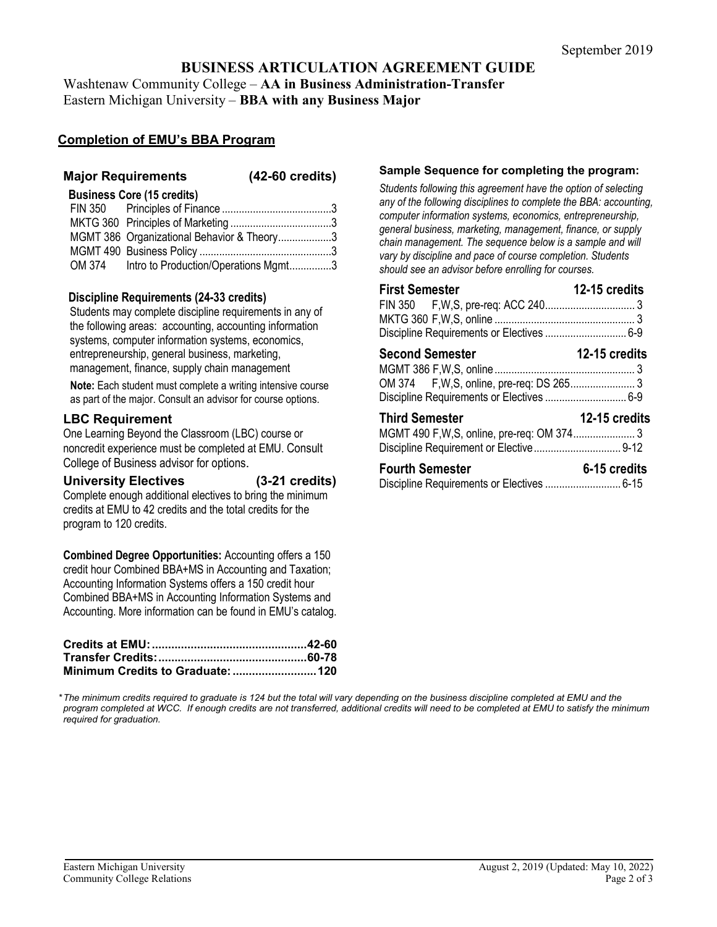# **BUSINESS ARTICULATION AGREEMENT GUIDE** Washtenaw Community College – **AA in Business Administration-Transfer**

Eastern Michigan University – **BBA with any Business Major**

# **Completion of EMU's BBA Program**

## **Major Requirements (42-60 credits)**

### **Business Core (15 credits)**

| MGMT 386 Organizational Behavior & Theory3  |  |
|---------------------------------------------|--|
|                                             |  |
| OM 374 Intro to Production/Operations Mgmt3 |  |

## **Discipline Requirements (24-33 credits)**

Students may complete discipline requirements in any of the following areas: accounting, accounting information systems, computer information systems, economics, entrepreneurship, general business, marketing, management, finance, supply chain management

**Note:** Each student must complete a writing intensive course as part of the major. Consult an advisor for course options.

# **LBC Requirement**

One Learning Beyond the Classroom (LBC) course or noncredit experience must be completed at EMU. Consult College of Business advisor for options.

**University Electives (3-21 credits)** Complete enough additional electives to bring the minimum credits at EMU to 42 credits and the total credits for the program to 120 credits.

**Combined Degree Opportunities:** Accounting offers a 150 credit hour Combined BBA+MS in Accounting and Taxation; Accounting Information Systems offers a 150 credit hour Combined BBA+MS in Accounting Information Systems and Accounting. More information can be found in EMU's catalog.

#### **Sample Sequence for completing the program:**

*Students following this agreement have the option of selecting any of the following disciplines to complete the BBA: accounting, computer information systems, economics, entrepreneurship, general business, marketing, management, finance, or supply chain management. The sequence below is a sample and will vary by discipline and pace of course completion. Students should see an advisor before enrolling for courses.* 

| <b>First Semester</b><br>Discipline Requirements or Electives  6-9 | 12-15 credits |
|--------------------------------------------------------------------|---------------|
| <b>12-15 credits</b><br><b>Second Semester</b>                     |               |
| <b>Third Semester</b>                                              | 12-15 credits |
| <b>Fourth Semester</b>                                             | 6-15 credits  |

*\*The minimum credits required to graduate is 124 but the total will vary depending on the business discipline completed at EMU and the program completed at WCC. If enough credits are not transferred, additional credits will need to be completed at EMU to satisfy the minimum required for graduation.*